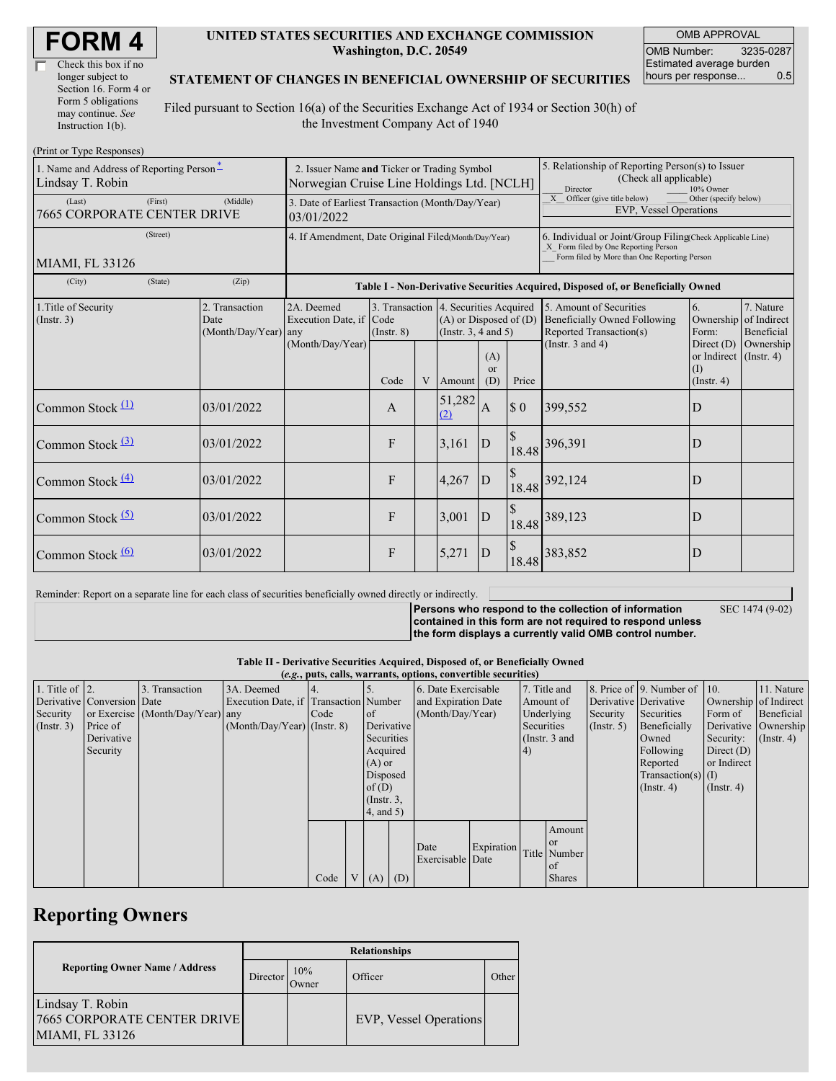| Check this box if no  |  |
|-----------------------|--|
| longer subject to     |  |
| Section 16. Form 4 or |  |
| Form 5 obligations    |  |
| may continue. See     |  |
| Instruction 1(b).     |  |

#### **UNITED STATES SECURITIES AND EXCHANGE COMMISSION Washington, D.C. 20549**

OMB APPROVAL OMB Number: 3235-0287 Estimated average burden hours per response... 0.5

### **STATEMENT OF CHANGES IN BENEFICIAL OWNERSHIP OF SECURITIES**

Filed pursuant to Section 16(a) of the Securities Exchange Act of 1934 or Section 30(h) of the Investment Company Act of 1940

| (Print or Type Responses)                                    |                                                                                           |                                                      |                         |   |                                                                                                 |                             |                                                                                                                                                    |                                                                                           |                                                                         |                                        |
|--------------------------------------------------------------|-------------------------------------------------------------------------------------------|------------------------------------------------------|-------------------------|---|-------------------------------------------------------------------------------------------------|-----------------------------|----------------------------------------------------------------------------------------------------------------------------------------------------|-------------------------------------------------------------------------------------------|-------------------------------------------------------------------------|----------------------------------------|
| 1. Name and Address of Reporting Person-<br>Lindsay T. Robin | 2. Issuer Name and Ticker or Trading Symbol<br>Norwegian Cruise Line Holdings Ltd. [NCLH] |                                                      |                         |   |                                                                                                 |                             | 5. Relationship of Reporting Person(s) to Issuer<br>(Check all applicable)<br>Director<br>10% Owner                                                |                                                                                           |                                                                         |                                        |
| (First)<br>(Last)<br>7665 CORPORATE CENTER DRIVE             | 3. Date of Earliest Transaction (Month/Day/Year)<br>03/01/2022                            |                                                      |                         |   |                                                                                                 |                             | X Officer (give title below)<br>Other (specify below)<br><b>EVP, Vessel Operations</b>                                                             |                                                                                           |                                                                         |                                        |
| (Street)<br>MIAMI, FL 33126                                  | 4. If Amendment, Date Original Filed(Month/Day/Year)                                      |                                                      |                         |   |                                                                                                 |                             | 6. Individual or Joint/Group Filing(Check Applicable Line)<br>X Form filed by One Reporting Person<br>Form filed by More than One Reporting Person |                                                                                           |                                                                         |                                        |
| (City)<br>(State)                                            | (Zip)                                                                                     |                                                      |                         |   |                                                                                                 |                             |                                                                                                                                                    | Table I - Non-Derivative Securities Acquired, Disposed of, or Beneficially Owned          |                                                                         |                                        |
| 1. Title of Security<br>$($ Instr. 3 $)$                     | 2. Transaction<br>Date<br>$(Month/Day/Year)$ any                                          | 2A. Deemed<br>Execution Date, if<br>(Month/Day/Year) | Code<br>$($ Instr. $8)$ |   | 3. Transaction 4. Securities Acquired<br>$(A)$ or Disposed of $(D)$<br>(Instr. $3, 4$ and $5$ ) |                             |                                                                                                                                                    | 5. Amount of Securities<br><b>Beneficially Owned Following</b><br>Reported Transaction(s) | 6.<br>Ownership<br>Form:                                                | 7. Nature<br>of Indirect<br>Beneficial |
|                                                              |                                                                                           |                                                      | Code                    | V | Amount                                                                                          | (A)<br><sub>or</sub><br>(D) | Price                                                                                                                                              | (Instr. $3$ and $4$ )                                                                     | Direct $(D)$<br>or Indirect $($ Instr. 4 $)$<br>(I)<br>$($ Instr. 4 $)$ | Ownership                              |
| Common Stock $(1)$                                           | 03/01/2022                                                                                |                                                      | A                       |   | 51,282<br>(2)                                                                                   | Α                           | $\boldsymbol{\mathsf{S}}$ 0                                                                                                                        | 399,552                                                                                   | D                                                                       |                                        |
| Common Stock $(3)$                                           | 03/01/2022                                                                                |                                                      | F                       |   | 3,161                                                                                           | D                           | \$<br>18.48                                                                                                                                        | 396,391                                                                                   | D                                                                       |                                        |
| Common Stock $\frac{(4)}{4}$                                 | 03/01/2022                                                                                |                                                      | F                       |   | 4,267                                                                                           | D                           |                                                                                                                                                    | 18.48 392,124                                                                             | D                                                                       |                                        |
| Common Stock $(5)$                                           | 03/01/2022                                                                                |                                                      | F                       |   | 3,001                                                                                           | D                           |                                                                                                                                                    | 18.48 389,123                                                                             | D                                                                       |                                        |
| Common Stock $\frac{(6)}{6}$                                 | 03/01/2022                                                                                |                                                      | F                       |   | 5,271                                                                                           | D                           | 18.48                                                                                                                                              | 383,852                                                                                   | D                                                                       |                                        |

Reminder: Report on a separate line for each class of securities beneficially owned directly or indirectly.

**Persons who respond to the collection of information contained in this form are not required to respond unless**

SEC 1474 (9-02)

**the form displays a currently valid OMB control number.**

**Table II - Derivative Securities Acquired, Disposed of, or Beneficially Owned**

|                        | (e.g., puts, calls, warrants, options, convertible securities) |                                  |                                       |      |  |             |                     |                          |                 |              |                  |                       |                              |                       |            |
|------------------------|----------------------------------------------------------------|----------------------------------|---------------------------------------|------|--|-------------|---------------------|--------------------------|-----------------|--------------|------------------|-----------------------|------------------------------|-----------------------|------------|
| 1. Title of $\vert$ 2. |                                                                | 3. Transaction                   | 3A. Deemed                            |      |  |             |                     | 6. Date Exercisable      |                 | 7. Title and |                  |                       | 8. Price of 9. Number of 10. |                       | 11. Nature |
|                        | Derivative Conversion Date                                     |                                  | Execution Date, if Transaction Number |      |  |             | and Expiration Date |                          |                 | Amount of    |                  | Derivative Derivative |                              | Ownership of Indirect |            |
| Security               |                                                                | or Exercise (Month/Day/Year) any |                                       | Code |  | <b>l</b> of | (Month/Day/Year)    |                          |                 | Underlying   | Security         | Securities            | Form of                      | Beneficial            |            |
| $($ Instr. 3 $)$       | Price of                                                       |                                  | $(Month/Day/Year)$ (Instr. 8)         |      |  |             | Derivative          |                          | Securities      |              | $($ Instr. 5 $)$ | Beneficially          | Derivative Ownership         |                       |            |
|                        | Derivative                                                     |                                  |                                       |      |  |             | Securities          |                          | (Instr. $3$ and |              |                  | Owned                 | Security:                    | $($ Instr. 4 $)$      |            |
|                        | Security                                                       |                                  |                                       |      |  |             | Acquired            |                          | 4)              |              |                  | Following             | Direct $(D)$                 |                       |            |
|                        |                                                                |                                  |                                       |      |  |             | $(A)$ or            |                          |                 |              |                  | Reported              | or Indirect                  |                       |            |
|                        |                                                                |                                  |                                       |      |  | Disposed    |                     |                          |                 |              |                  | Transaction(s) $(I)$  |                              |                       |            |
|                        |                                                                |                                  |                                       |      |  |             | of $(D)$            |                          |                 |              |                  | $($ Instr. 4 $)$      | $($ Instr. 4 $)$             |                       |            |
|                        |                                                                |                                  |                                       |      |  |             | $($ Instr. $3,$     |                          |                 |              |                  |                       |                              |                       |            |
|                        |                                                                |                                  |                                       |      |  |             | 4, and 5)           |                          |                 |              |                  |                       |                              |                       |            |
|                        |                                                                |                                  |                                       |      |  |             |                     |                          |                 |              | Amount           |                       |                              |                       |            |
|                        |                                                                |                                  |                                       |      |  |             |                     |                          |                 |              | l or             |                       |                              |                       |            |
|                        |                                                                |                                  |                                       |      |  |             |                     | Date<br>Exercisable Date | Expiration      | Title Number |                  |                       |                              |                       |            |
|                        |                                                                |                                  |                                       |      |  |             |                     |                          |                 |              | 0t               |                       |                              |                       |            |
|                        |                                                                |                                  |                                       | Code |  | $V(A)$ (D)  |                     |                          |                 |              | <b>Shares</b>    |                       |                              |                       |            |

## **Reporting Owners**

|                                                                           | <b>Relationships</b> |              |                        |       |  |  |  |  |  |
|---------------------------------------------------------------------------|----------------------|--------------|------------------------|-------|--|--|--|--|--|
| <b>Reporting Owner Name / Address</b>                                     | Director             | 10%<br>Owner | Officer                | Other |  |  |  |  |  |
| Lindsay T. Robin<br><b>7665 CORPORATE CENTER DRIVE</b><br>MIAMI, FL 33126 |                      |              | EVP, Vessel Operations |       |  |  |  |  |  |